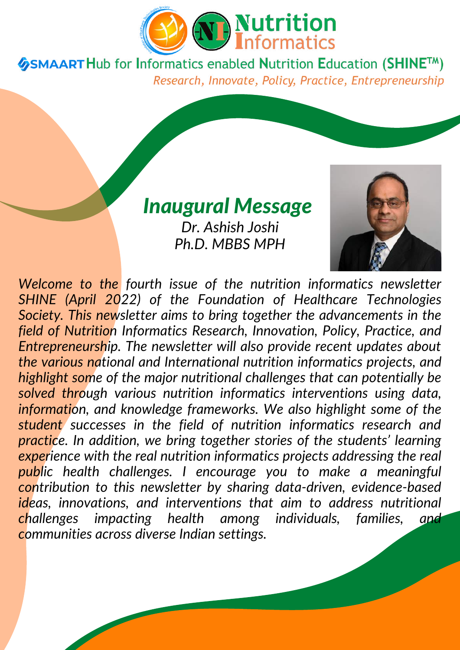

### *Inaugural Message*

*Dr. Ashish Joshi Ph.D. MBBS MPH*



*Welcome to the fourth issue of the nutrition informatics newsletter SHINE (April 2022) of the Foundation of Healthcare Technologies Society. This newsletter aims to bring together the advancements in the field of Nutrition Informatics Research, Innovation, Policy, Practice, and Entrepreneurship. The newsletter will also provide recent updates about the various national and International nutrition informatics projects, and highlight some of the major nutritional challenges that can potentially be solved through various nutrition informatics interventions using data, information, and knowledge frameworks. We also highlight some of the student successes in the field of nutrition informatics research and practice. In addition, we bring together stories of the students' learning experience with the real nutrition informatics projects addressing the real public health challenges. I encourage you to make a meaningful contribution to this newsletter by sharing data-driven, evidence-based ideas, innovations, and interventions that aim to address nutritional challenges impacting health among individuals, families, and communities across diverse Indian settings.*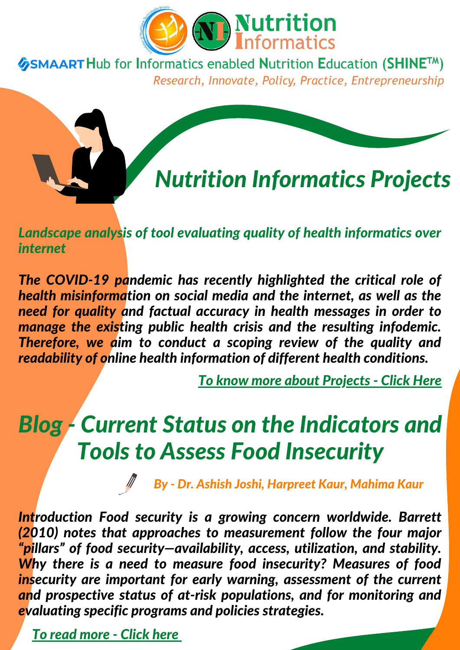



*Landscape analysis of tool evaluating quality of health informatics over internet*

*The COVID-19 pandemic has recently highlighted the critical role of health misinformation on social media and the internet, as well as the need for quality and factual accuracy in health messages in order to manage the existing public health crisis and the resulting infodemic. Therefore, we aim to conduct a scoping review of the quality and readability of online health information of different health conditions.*

*To know more about [Projects](https://nutritioninformatics.info/ni-projects/) - Click Here*

# *Blog - Current Status on the Indicators and Tools to Assess Food Insecurity*

*By - Dr. Ashish Joshi, Harpreet Kaur, Mahima Kaur*

*Introduction Food security is a growing concern worldwide. Barrett (2010) notes that approaches to measurement follow the four major "pillars" of food security—availability, access, utilization, and stability. Why there is a need to measure food insecurity? Measures of food insecurity are important for early warning, assessment of the current and prospective status of at-risk populations, and for monitoring and evaluating specific programs and policies strategies.*

*To read [more](https://nutritioninformatics.info/current-status-on-the-indicators-and-tools-to-assess-food-insecurity/) - Click her[e](https://nutritioninformatics.info/current-status-on-the-indicators-and-tools-to-assess-food-insecurity/)*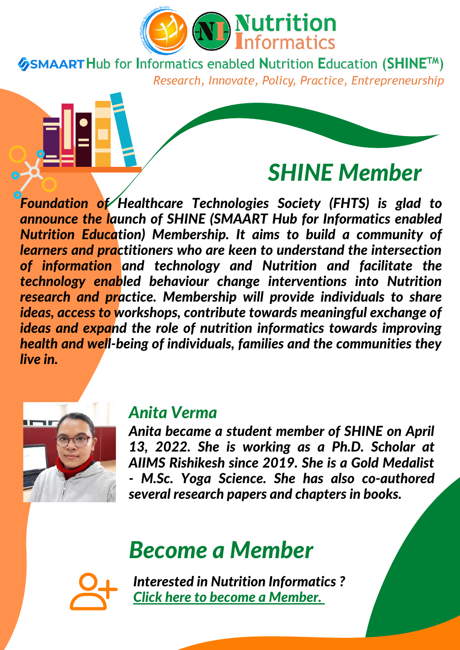

## *SHINE Member*

*Foundation of Healthcare Technologies Society (FHTS) is glad to announce the launch of SHINE (SMAART Hub for Informatics enabled Nutrition Education) Membership. It aims to build a community of learners and practitioners who are keen to understand the intersection of information and technology and Nutrition and facilitate the technology enabled behaviour change interventions into Nutrition research and practice. Membership will provide individuals to share ideas, access to workshops, contribute towards meaningful exchange of ideas and expand the role of nutrition informatics towards improving health and well-being of individuals, families and the communities they live in.*



#### *Anita Verma*

*Anita became a student member of SHINE on April 13, 2022. She is working as a Ph.D. Scholar at AIIMS Rishikesh since 2019. She is a Gold Medalist - M.Sc. Yoga Science. She has also co-authored several research papers and chapters in books.*

## *Become a Member*



*Interested in Nutrition Informat[ic](https://nutritioninformatics.info/membership/)s ? Click here to become a [Member.](https://nutritioninformatics.info/membership/)*